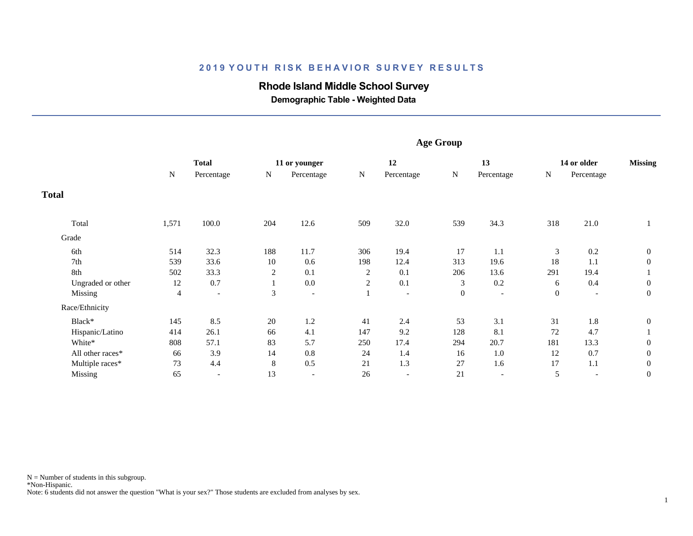### **2019 YOUTH RISK BEHAVIOR SURVEY RESULTS**

# **Rhode Island Middle School Survey**

 **Demographic Table - Weighted Data**

|                   | <b>Age Group</b> |                          |                |                          |                |                          |                |                          |                |                          |                  |  |
|-------------------|------------------|--------------------------|----------------|--------------------------|----------------|--------------------------|----------------|--------------------------|----------------|--------------------------|------------------|--|
|                   | <b>Total</b>     |                          |                | 11 or younger            | 12             |                          | 13             |                          | 14 or older    |                          | <b>Missing</b>   |  |
|                   | N                |                          | Percentage     | N                        | Percentage     | ${\bf N}$                | Percentage     | ${\bf N}$                | Percentage     | ${\bf N}$                | Percentage       |  |
| <b>Total</b>      |                  |                          |                |                          |                |                          |                |                          |                |                          |                  |  |
| Total             | 1,571            | 100.0                    | 204            | 12.6                     | 509            | 32.0                     | 539            | 34.3                     | 318            | 21.0                     |                  |  |
| Grade             |                  |                          |                |                          |                |                          |                |                          |                |                          |                  |  |
| 6th               | 514              | 32.3                     | 188            | 11.7                     | 306            | 19.4                     | 17             | 1.1                      | 3              | 0.2                      | $\mathbf{0}$     |  |
| 7th               | 539              | 33.6                     | 10             | 0.6                      | 198            | 12.4                     | 313            | 19.6                     | 18             | 1.1                      | $\mathbf{0}$     |  |
| 8th               | 502              | 33.3                     | $\overline{c}$ | 0.1                      | 2              | 0.1                      | 206            | 13.6                     | 291            | 19.4                     |                  |  |
| Ungraded or other | 12               | 0.7                      | $\mathbf{1}$   | $0.0\,$                  | $\overline{c}$ | 0.1                      | 3              | 0.2                      | 6              | 0.4                      | $\mathbf{0}$     |  |
| Missing           | 4                | $\overline{\phantom{a}}$ | $\mathfrak{Z}$ | $\overline{\phantom{0}}$ | $\perp$        | $\overline{\phantom{a}}$ | $\overline{0}$ | $\overline{\phantom{a}}$ | $\overline{0}$ | $\overline{\phantom{a}}$ | $\boldsymbol{0}$ |  |
| Race/Ethnicity    |                  |                          |                |                          |                |                          |                |                          |                |                          |                  |  |
| Black*            | 145              | 8.5                      | $20\,$         | 1.2                      | 41             | 2.4                      | 53             | 3.1                      | 31             | 1.8                      | $\boldsymbol{0}$ |  |
| Hispanic/Latino   | 414              | 26.1                     | 66             | 4.1                      | 147            | 9.2                      | 128            | 8.1                      | 72             | 4.7                      |                  |  |
| White*            | 808              | 57.1                     | 83             | 5.7                      | 250            | 17.4                     | 294            | 20.7                     | 181            | 13.3                     | $\boldsymbol{0}$ |  |
| All other races*  | 66               | 3.9                      | 14             | 0.8                      | 24             | 1.4                      | 16             | $1.0\,$                  | 12             | 0.7                      | $\boldsymbol{0}$ |  |
| Multiple races*   | 73               | 4.4                      | $\,8\,$        | 0.5                      | 21             | 1.3                      | 27             | 1.6                      | 17             | 1.1                      | $\boldsymbol{0}$ |  |
| Missing           | 65               |                          | 13             | $\overline{\phantom{a}}$ | 26             | $\overline{\phantom{a}}$ | 21             | $\overline{\phantom{a}}$ | 5              | $\overline{\phantom{a}}$ | $\boldsymbol{0}$ |  |

Note: 6 students did not answer the question "What is your sex?" Those students are excluded from analyses by sex.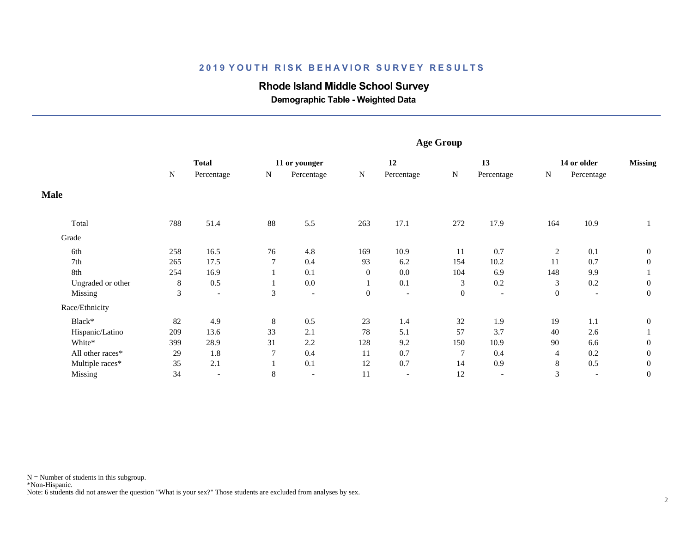### **2019 YOUTH RISK BEHAVIOR SURVEY RESULTS**

# **Rhode Island Middle School Survey**

 **Demographic Table - Weighted Data**

|                   | <b>Age Group</b> |                          |              |                          |                |                          |                |                          |                |                          |                  |
|-------------------|------------------|--------------------------|--------------|--------------------------|----------------|--------------------------|----------------|--------------------------|----------------|--------------------------|------------------|
|                   |                  | <b>Total</b>             |              | 11 or younger            | 12             |                          | 13             |                          | 14 or older    |                          | <b>Missing</b>   |
|                   | N                | Percentage               | N            | Percentage               | ${\bf N}$      | Percentage               | $\mathbf N$    | Percentage               | ${\bf N}$      | Percentage               |                  |
| <b>Male</b>       |                  |                          |              |                          |                |                          |                |                          |                |                          |                  |
| Total             | 788              | 51.4                     | 88           | 5.5                      | 263            | 17.1                     | 272            | 17.9                     | 164            | 10.9                     |                  |
| Grade             |                  |                          |              |                          |                |                          |                |                          |                |                          |                  |
| 6th               | 258              | 16.5                     | 76           | 4.8                      | 169            | 10.9                     | 11             | 0.7                      | 2              | 0.1                      | $\boldsymbol{0}$ |
| 7th               | 265              | 17.5                     | $\tau$       | 0.4                      | 93             | 6.2                      | 154            | 10.2                     | 11             | 0.7                      | $\mathbf{0}$     |
| 8th               | 254              | 16.9                     |              | 0.1                      | $\overline{0}$ | 0.0                      | 104            | 6.9                      | 148            | 9.9                      |                  |
| Ungraded or other | 8                | 0.5                      |              | 0.0                      |                | 0.1                      | 3              | 0.2                      | 3              | 0.2                      | $\mathbf{0}$     |
| Missing           | $\mathfrak{Z}$   | $\overline{\phantom{a}}$ | 3            | $\overline{\phantom{a}}$ | $\overline{0}$ | $\overline{\phantom{a}}$ | $\overline{0}$ | $\overline{\phantom{a}}$ | $\overline{0}$ | $\overline{\phantom{a}}$ | $\boldsymbol{0}$ |
| Race/Ethnicity    |                  |                          |              |                          |                |                          |                |                          |                |                          |                  |
| Black*            | 82               | 4.9                      | 8            | 0.5                      | 23             | 1.4                      | 32             | 1.9                      | 19             | 1.1                      | $\boldsymbol{0}$ |
| Hispanic/Latino   | 209              | 13.6                     | 33           | 2.1                      | 78             | 5.1                      | 57             | 3.7                      | 40             | 2.6                      |                  |
| White*            | 399              | 28.9                     | 31           | 2.2                      | 128            | 9.2                      | 150            | 10.9                     | 90             | 6.6                      | $\mathbf{0}$     |
| All other races*  | 29               | 1.8                      | 7            | 0.4                      | 11             | 0.7                      |                | 0.4                      | 4              | 0.2                      | $\mathbf{0}$     |
| Multiple races*   | 35               | 2.1                      | $\mathbf{I}$ | 0.1                      | 12             | 0.7                      | 14             | 0.9                      | 8              | 0.5                      | $\boldsymbol{0}$ |
| Missing           | 34               | $\overline{\phantom{0}}$ | 8            |                          | 11             | $\overline{\phantom{a}}$ | 12             | $\overline{\phantom{a}}$ | 3              | $\overline{\phantom{0}}$ | $\boldsymbol{0}$ |

 \*Non-Hispanic.  $N =$  Number of students in this subgroup.

Note: 6 students did not answer the question "What is your sex?" Those students are excluded from analyses by sex.